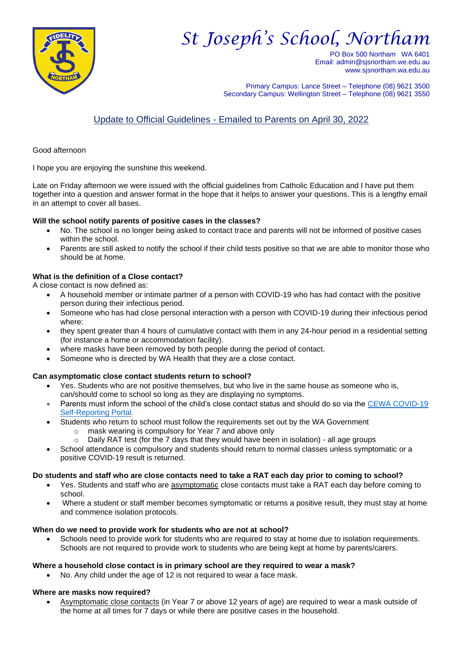

# *St Joseph's School, Northam*

PO Box 500 Northam WA 6401 Email: admin@sjsnortham.we.edu.au www.sjsnortham.wa.edu.au

Primary Campus: Lance Street – Telephone (08) 9621 3500 Secondary Campus: Wellington Street – Telephone (08) 9621 3550

# Update to Official Guidelines - Emailed to Parents on April 30, 2022

Good afternoon

I hope you are enjoying the sunshine this weekend.

Late on Friday afternoon we were issued with the official guidelines from Catholic Education and I have put them together into a question and answer format in the hope that it helps to answer your questions. This is a lengthy email in an attempt to cover all bases.

# **Will the school notify parents of positive cases in the classes?**

- No. The school is no longer being asked to contact trace and parents will not be informed of positive cases within the school.
- Parents are still asked to notify the school if their child tests positive so that we are able to monitor those who should be at home.

# **What is the definition of a Close contact?**

A close contact is now defined as:

- A household member or intimate partner of a person with COVID-19 who has had contact with the positive person during their infectious period.
- Someone who has had close personal interaction with a person with COVID-19 during their infectious period where:
- they spent greater than 4 hours of cumulative contact with them in any 24-hour period in a residential setting (for instance a home or accommodation facility).
- where masks have been removed by both people during the period of contact.
- Someone who is directed by WA Health that they are a close contact.

# **Can asymptomatic close contact students return to school?**

- Yes. Students who are not positive themselves, but who live in the same house as someone who is, can/should come to school so long as they are displaying no symptoms.
- Parents must inform the school of the child's close contact status and should do so via the [CEWA COVID-19](https://aus01.safelinks.protection.outlook.com/?url=https%3A%2F%2Fcewa-collections.powerappsportals.com%2FCOVID-19-Self-Reporting-Form%2F&data=05%7C01%7CAndrea.Woodgate%40cewa.edu.au%7C1dd3312634e64aba49e808da2a7eba4e%7Cc5852f2336334f29b38651da53e35e23%7C0%7C0%7C637869021033709170%7CUnknown%7CTWFpbGZsb3d8eyJWIjoiMC4wLjAwMDAiLCJQIjoiV2luMzIiLCJBTiI6Ik1haWwiLCJXVCI6Mn0%3D%7C3000%7C%7C%7C&sdata=grh7lFc%2F%2B%2FFiAI6EW20%2FcENCh%2FEfIMf7v0dAq7x8Y2g%3D&reserved=0)  [Self-Reporting Portal.](https://aus01.safelinks.protection.outlook.com/?url=https%3A%2F%2Fcewa-collections.powerappsportals.com%2FCOVID-19-Self-Reporting-Form%2F&data=05%7C01%7CAndrea.Woodgate%40cewa.edu.au%7C1dd3312634e64aba49e808da2a7eba4e%7Cc5852f2336334f29b38651da53e35e23%7C0%7C0%7C637869021033709170%7CUnknown%7CTWFpbGZsb3d8eyJWIjoiMC4wLjAwMDAiLCJQIjoiV2luMzIiLCJBTiI6Ik1haWwiLCJXVCI6Mn0%3D%7C3000%7C%7C%7C&sdata=grh7lFc%2F%2B%2FFiAI6EW20%2FcENCh%2FEfIMf7v0dAq7x8Y2g%3D&reserved=0)
- Students who return to school must follow the requirements set out by the WA Government
	- o mask wearing is compulsory for Year 7 and above only
	- $\circ$  Daily RAT test (for the 7 days that they would have been in isolation) all age groups
- School attendance is compulsory and students should return to normal classes unless symptomatic or a positive COVID-19 result is returned.

#### **Do students and staff who are close contacts need to take a RAT each day prior to coming to school?**

- Yes. Students and staff who are asymptomatic close contacts must take a RAT each day before coming to school.
- Where a student or staff member becomes symptomatic or returns a positive result, they must stay at home and commence isolation protocols.

#### **When do we need to provide work for students who are not at school?**

• Schools need to provide work for students who are required to stay at home due to isolation requirements. Schools are not required to provide work to students who are being kept at home by parents/carers.

#### **Where a household close contact is in primary school are they required to wear a mask?**

• No. Any child under the age of 12 is not required to wear a face mask.

#### **Where are masks now required?**

• Asymptomatic close contacts (in Year 7 or above 12 years of age) are required to wear a mask outside of the home at all times for 7 days or while there are positive cases in the household.